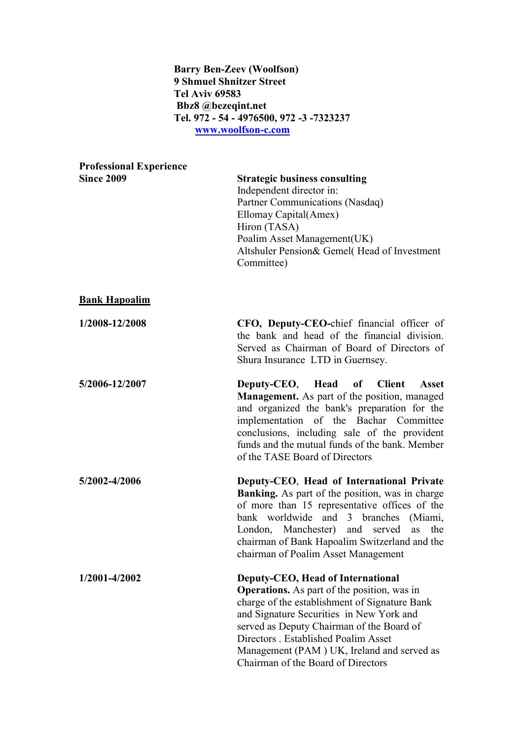## Barry Ben-Zeev (Woolfson) 9 Shmuel Shnitzer Street Tel Aviv 69583 Bbz8 @bezeqint.net Tel. 972 - 54 - 4976500, 972 -3 -7323237 [www.woolfson-c.com](http://www.woolfson-c.com/)

| <b>Professional Experience</b> |                                                                                                                                                                                                                                                                                                                                                               |
|--------------------------------|---------------------------------------------------------------------------------------------------------------------------------------------------------------------------------------------------------------------------------------------------------------------------------------------------------------------------------------------------------------|
| <b>Since 2009</b>              | <b>Strategic business consulting</b><br>Independent director in:<br>Partner Communications (Nasdaq)<br>Ellomay Capital(Amex)<br>Hiron (TASA)<br>Poalim Asset Management(UK)<br>Altshuler Pension& Gemel(Head of Investment<br>Committee)                                                                                                                      |
| <b>Bank Hapoalim</b>           |                                                                                                                                                                                                                                                                                                                                                               |
| 1/2008-12/2008                 | <b>CFO, Deputy-CEO-chief financial officer of</b><br>the bank and head of the financial division.<br>Served as Chairman of Board of Directors of<br>Shura Insurance LTD in Guernsey.                                                                                                                                                                          |
| 5/2006-12/2007                 | Deputy-CEO, Head of<br><b>Client</b><br><b>Asset</b><br><b>Management.</b> As part of the position, managed<br>and organized the bank's preparation for the<br>implementation of the Bachar Committee<br>conclusions, including sale of the provident<br>funds and the mutual funds of the bank. Member<br>of the TASE Board of Directors                     |
| 5/2002-4/2006                  | Deputy-CEO, Head of International Private<br>Banking. As part of the position, was in charge<br>of more than 15 representative offices of the<br>bank worldwide and 3 branches (Miami,<br>London, Manchester) and served<br>as<br>the<br>chairman of Bank Hapoalim Switzerland and the<br>chairman of Poalim Asset Management                                 |
| 1/2001-4/2002                  | Deputy-CEO, Head of International<br><b>Operations.</b> As part of the position, was in<br>charge of the establishment of Signature Bank<br>and Signature Securities in New York and<br>served as Deputy Chairman of the Board of<br>Directors . Established Poalim Asset<br>Management (PAM) UK, Ireland and served as<br>Chairman of the Board of Directors |